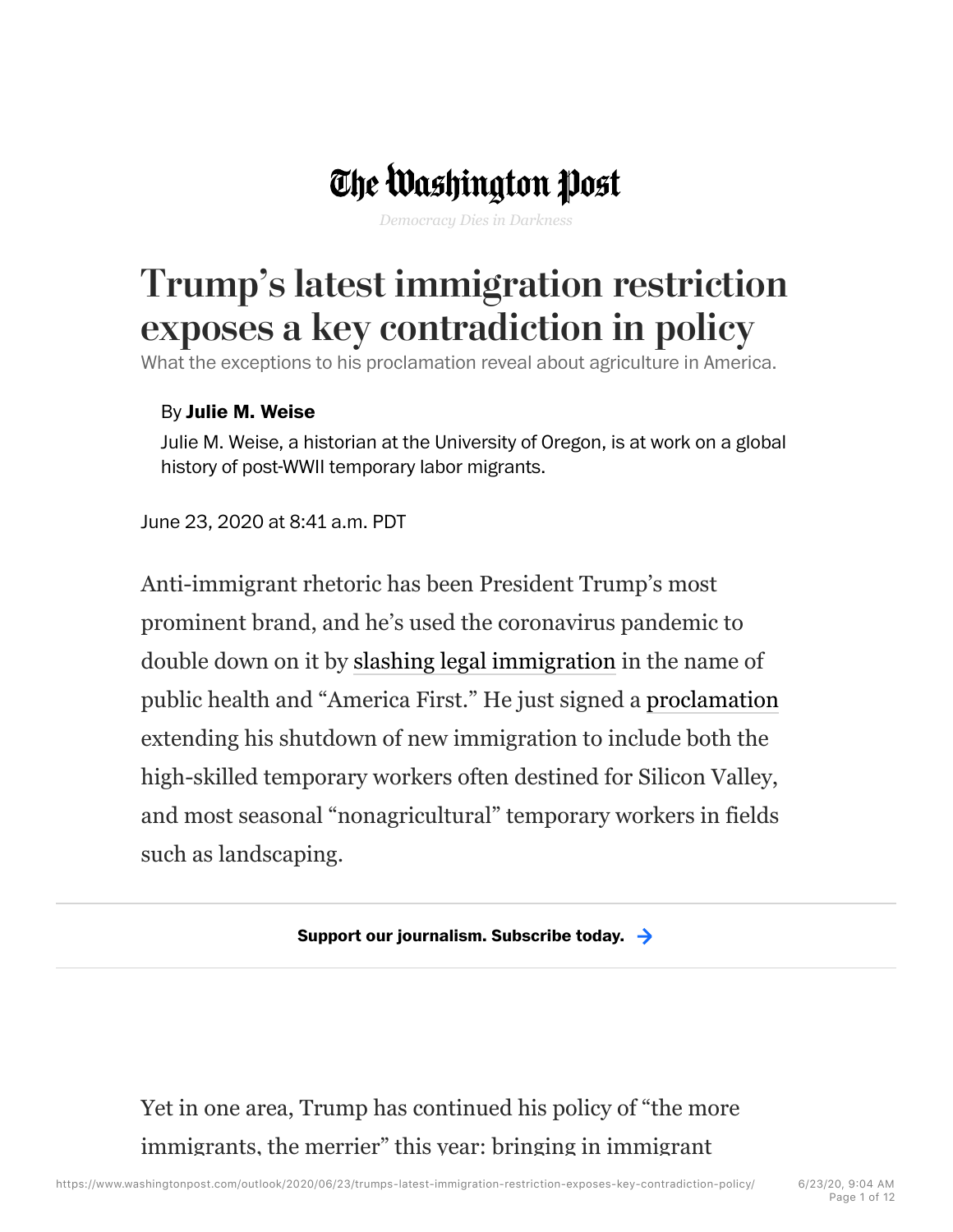## The Washington Post

*Democracy Dies in Darkness*

## Trump's latest immigration restriction exposes a key contradiction in policy

What the exceptions to his proclamation reveal about agriculture in America.

## By **Julie M. Weise**

Julie M. Weise, a historian at the University of Oregon, is at work on a global history of post-WWII temporary labor migrants.

June 23, 2020 at 8:41 a.m. PDT

Anti-immigrant rhetoric has been President Trump's most prominent brand, and he's used the coronavirus pandemic to double down on it by slashing legal immigration in the name of public health and "America First." He just signed a proclamation extending his shutdown of new immigration to include both the high-skilled temporary workers often destined for Silicon Valley, and most seasonal "nonagricultural" temporary workers in fields such as landscaping.

**Support our journalism. Subscribe today.**

Yet in one area, Trump has continued his policy of "the more immigrants, the merrier" this year: bringing in immigrant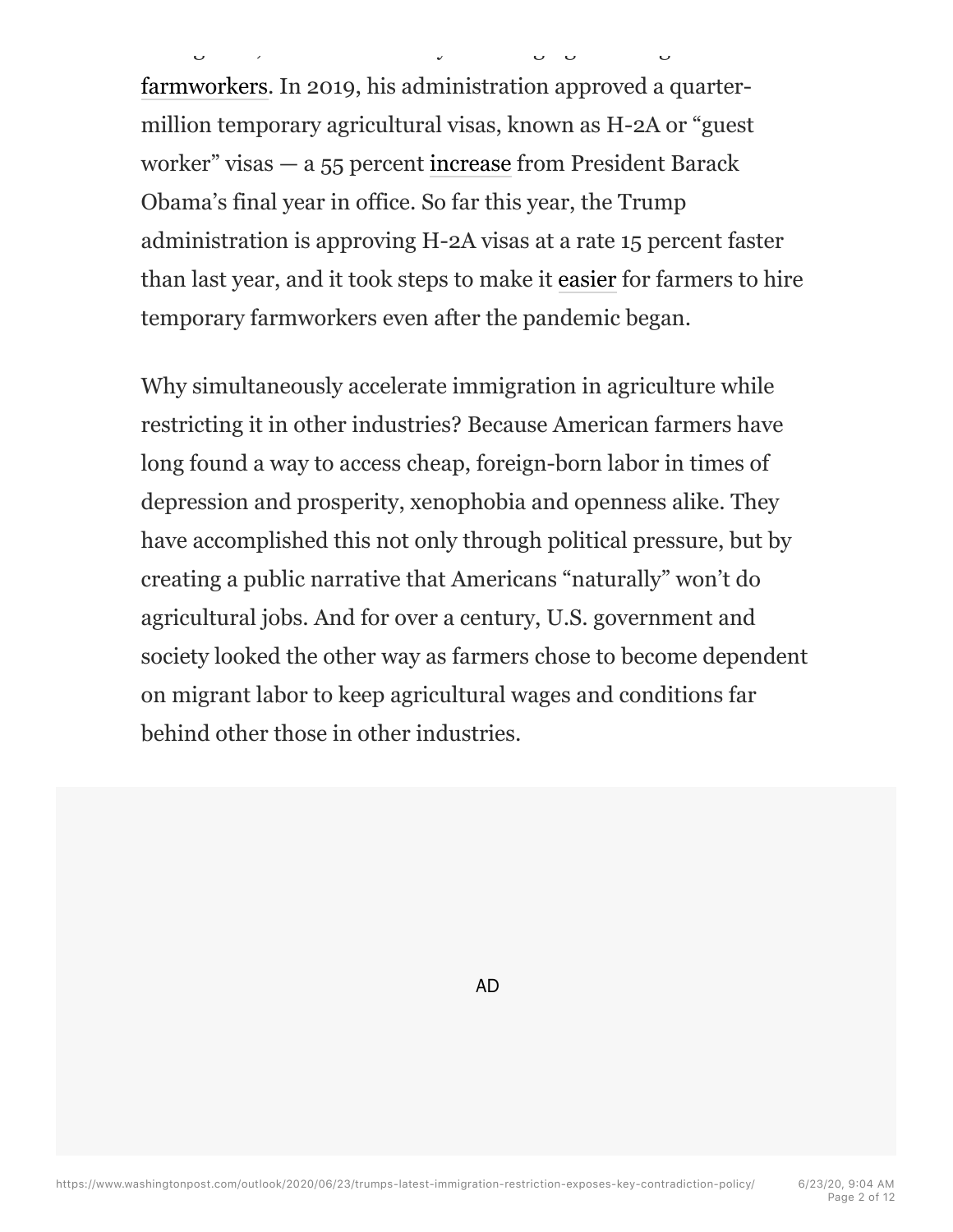farmworkers. In 2019, his administration approved a quartermillion temporary agricultural visas, known as H-2A or "guest worker" visas — a 55 percent increase from President Barack Obama's final year in office. So far this year, the Trump administration is approving H-2A visas at a rate 15 percent faster than last year, and it took steps to make it easier for farmers to hire temporary farmworkers even after the pandemic began.

immigrants, the merrier" this year: bringing in immigrant

Why simultaneously accelerate immigration in agriculture while restricting it in other industries? Because American farmers have long found a way to access cheap, foreign-born labor in times of depression and prosperity, xenophobia and openness alike. They have accomplished this not only through political pressure, but by creating a public narrative that Americans "naturally" won't do agricultural jobs. And for over a century, U.S. government and society looked the other way as farmers chose to become dependent on migrant labor to keep agricultural wages and conditions far behind other those in other industries.

AD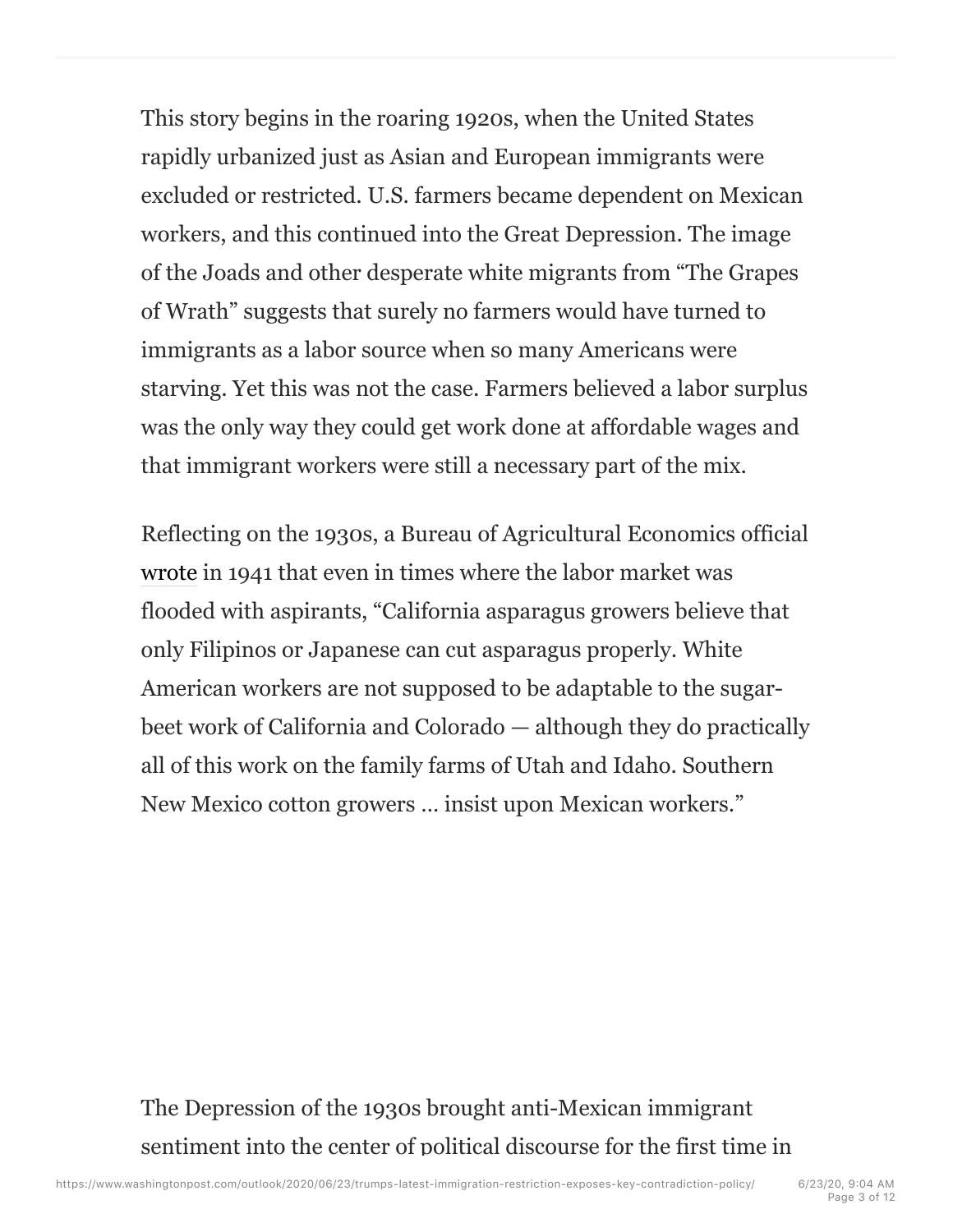This story begins in the roaring 1920s, when the United States rapidly urbanized just as Asian and European immigrants were excluded or restricted. U.S. farmers became dependent on Mexican workers, and this continued into the Great Depression. The image of the Joads and other desperate white migrants from "The Grapes of Wrath" suggests that surely no farmers would have turned to immigrants as a labor source when so many Americans were starving. Yet this was not the case. Farmers believed a labor surplus was the only way they could get work done at affordable wages and that immigrant workers were still a necessary part of the mix.

Reflecting on the 1930s, a Bureau of Agricultural Economics official wrote in 1941 that even in times where the labor market was flooded with aspirants, "California asparagus growers believe that only Filipinos or Japanese can cut asparagus properly. White American workers are not supposed to be adaptable to the sugarbeet work of California and Colorado — although they do practically all of this work on the family farms of Utah and Idaho. Southern New Mexico cotton growers … insist upon Mexican workers."

The Depression of the 1930s brought anti-Mexican immigrant sentiment into the center of political discourse for the first time in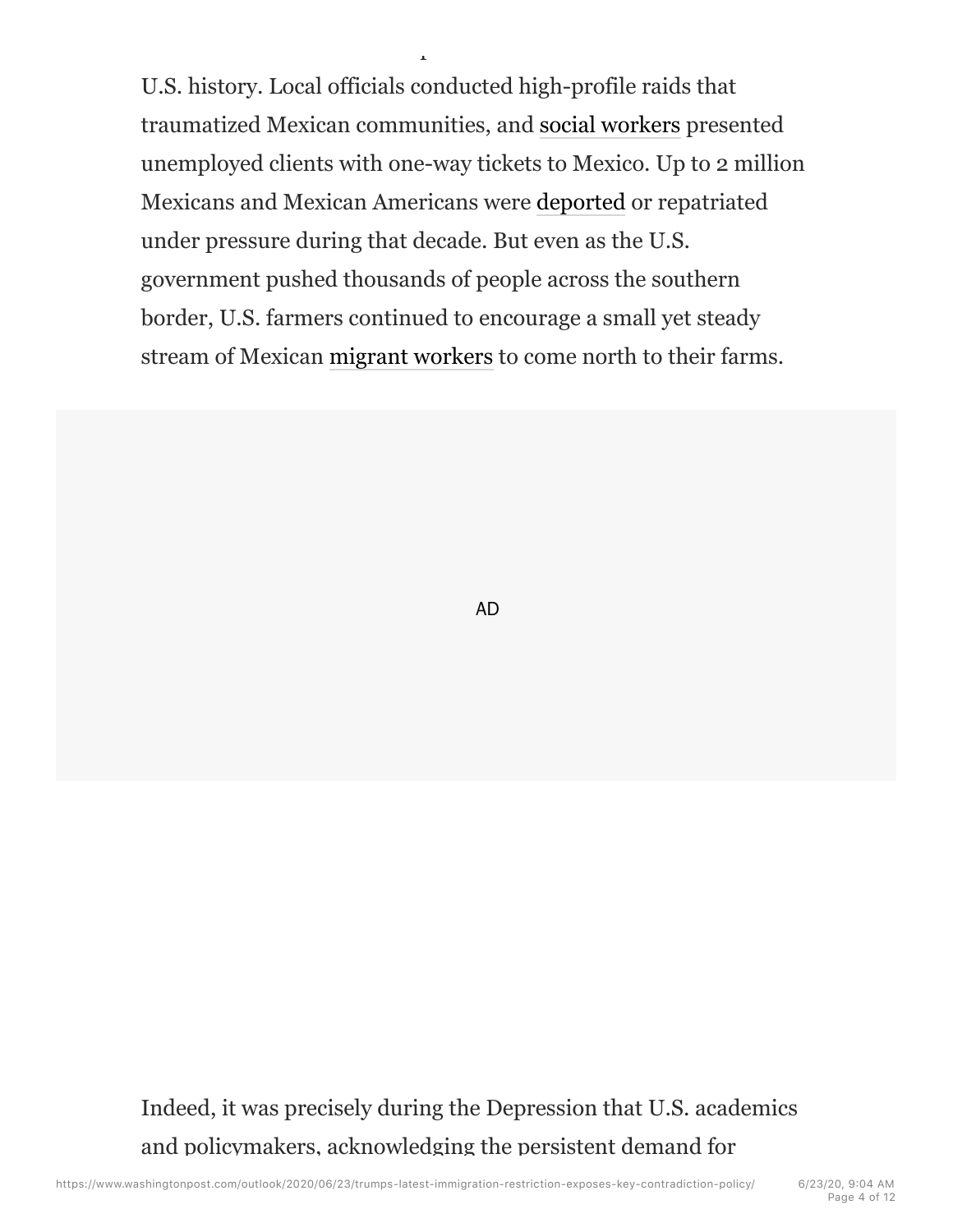U.S. history. Local officials conducted high-profile raids that traumatized Mexican communities, and social workers presented unemployed clients with one-way tickets to Mexico. Up to 2 million Mexicans and Mexican Americans were deported or repatriated under pressure during that decade. But even as the U.S. government pushed thousands of people across the southern border, U.S. farmers continued to encourage a small yet steady stream of Mexican migrant workers to come north to their farms.

sentiment into the center of political discourse for the first time in

AD

Indeed, it was precisely during the Depression that U.S. academics and policymakers, acknowledging the persistent demand for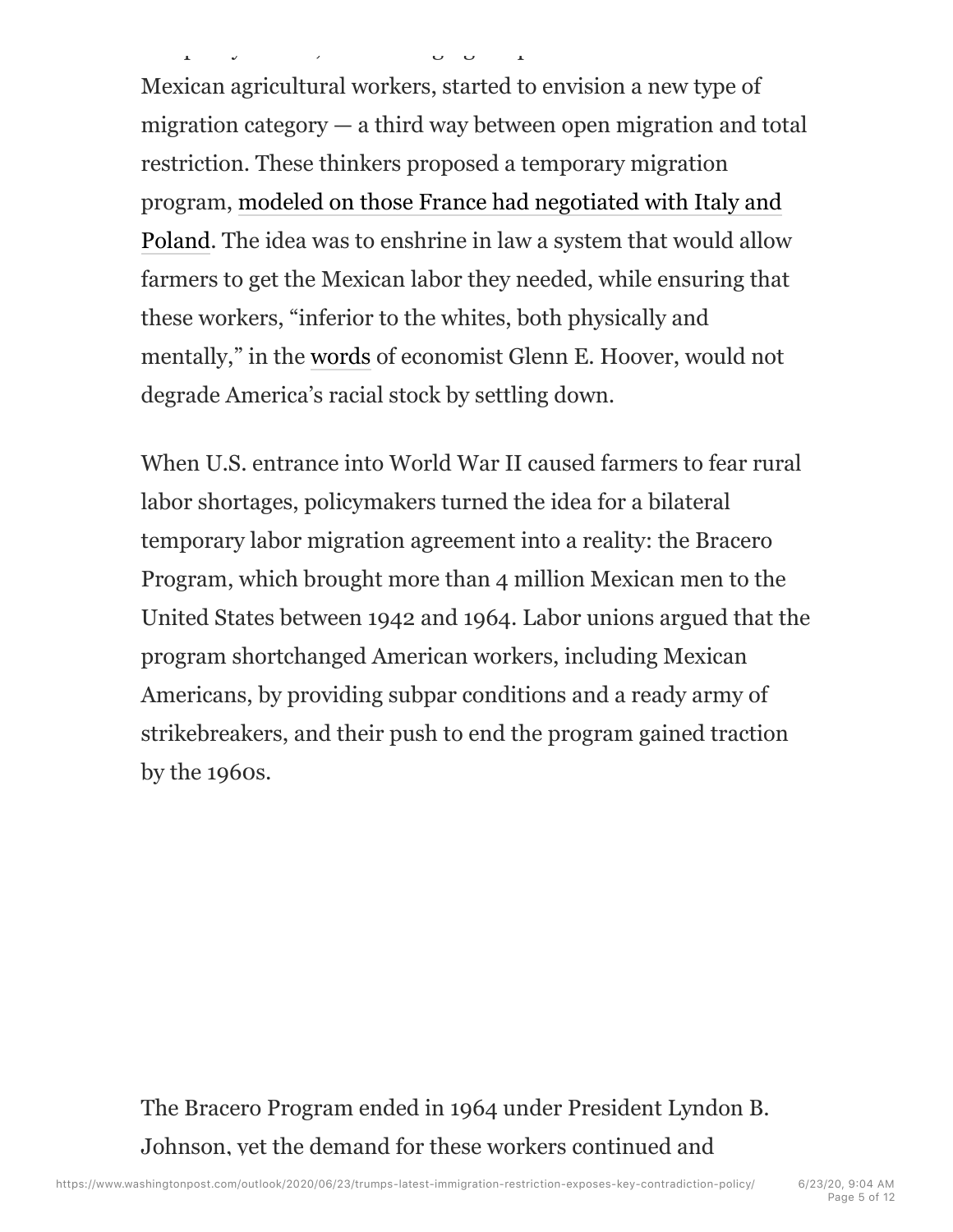Mexican agricultural workers, started to envision a new type of migration category — a third way between open migration and total restriction. These thinkers proposed a temporary migration program, modeled on those France had negotiated with Italy and Poland. The idea was to enshrine in law a system that would allow farmers to get the Mexican labor they needed, while ensuring that these workers, "inferior to the whites, both physically and mentally," in the words of economist Glenn E. Hoover, would not degrade America's racial stock by settling down.

and policymakers, actor actor actor actor actor actor actor actor actor actor actor actor actor actor actor actor actor actor actor actor actor actor actor actor actor actor actor actor actor actor actor actor actor actor

When U.S. entrance into World War II caused farmers to fear rural labor shortages, policymakers turned the idea for a bilateral temporary labor migration agreement into a reality: the Bracero Program, which brought more than 4 million Mexican men to the United States between 1942 and 1964. Labor unions argued that the program shortchanged American workers, including Mexican Americans, by providing subpar conditions and a ready army of strikebreakers, and their push to end the program gained traction by the 1960s.

The Bracero Program ended in 1964 under President Lyndon B. Johnson, yet the demand for these workers continued and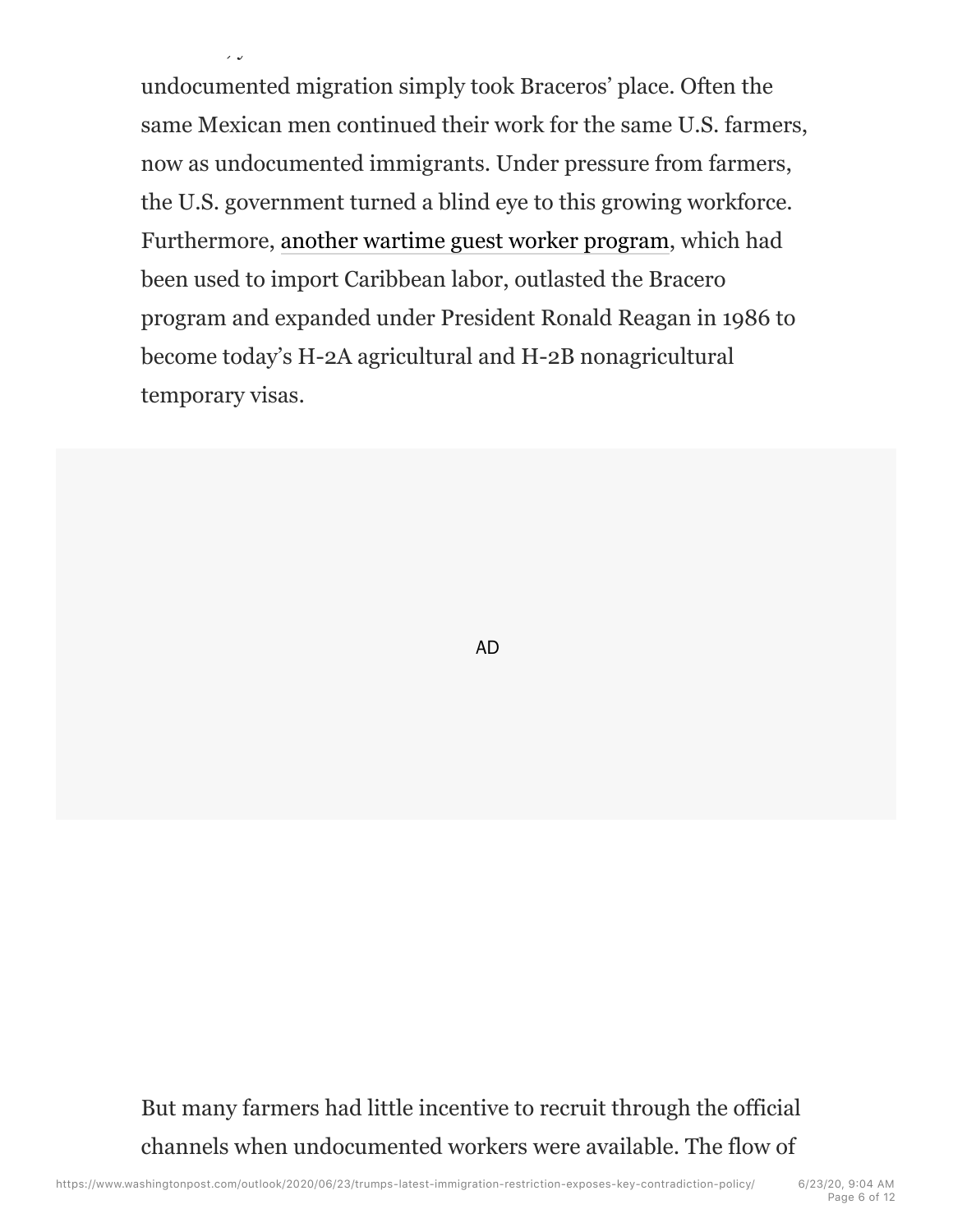undocumented migration simply took Braceros' place. Often the same Mexican men continued their work for the same U.S. farmers, now as undocumented immigrants. Under pressure from farmers, the U.S. government turned a blind eye to this growing workforce. Furthermore, another wartime guest worker program, which had been used to import Caribbean labor, outlasted the Bracero program and expanded under President Ronald Reagan in 1986 to become today's H-2A agricultural and H-2B nonagricultural temporary visas.

Johnson, yet the demand for these workers continued and

AD

But many farmers had little incentive to recruit through the official channels when undocumented workers were available. The flow of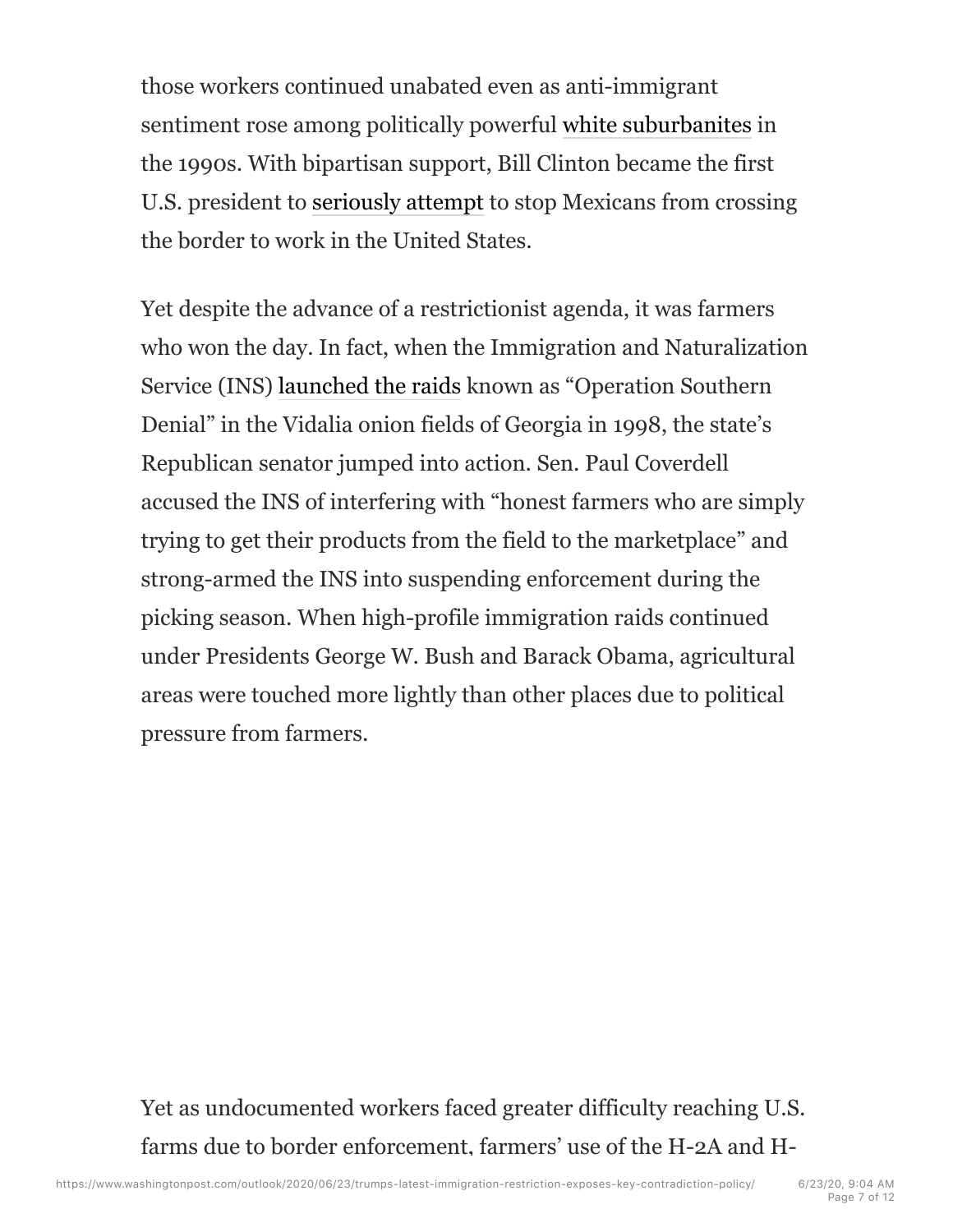those workers continued unabated even as anti-immigrant sentiment rose among politically powerful white suburbanites in the 1990s. With bipartisan support, Bill Clinton became the first U.S. president to seriously attempt to stop Mexicans from crossing the border to work in the United States.

Yet despite the advance of a restrictionist agenda, it was farmers who won the day. In fact, when the Immigration and Naturalization Service (INS) launched the raids known as "Operation Southern Denial" in the Vidalia onion fields of Georgia in 1998, the state's Republican senator jumped into action. Sen. Paul Coverdell accused the INS of interfering with "honest farmers who are simply trying to get their products from the field to the marketplace" and strong-armed the INS into suspending enforcement during the picking season. When high-profile immigration raids continued under Presidents George W. Bush and Barack Obama, agricultural areas were touched more lightly than other places due to political pressure from farmers.

Yet as undocumented workers faced greater difficulty reaching U.S. farms due to border enforcement, farmers' use of the H-2A and H-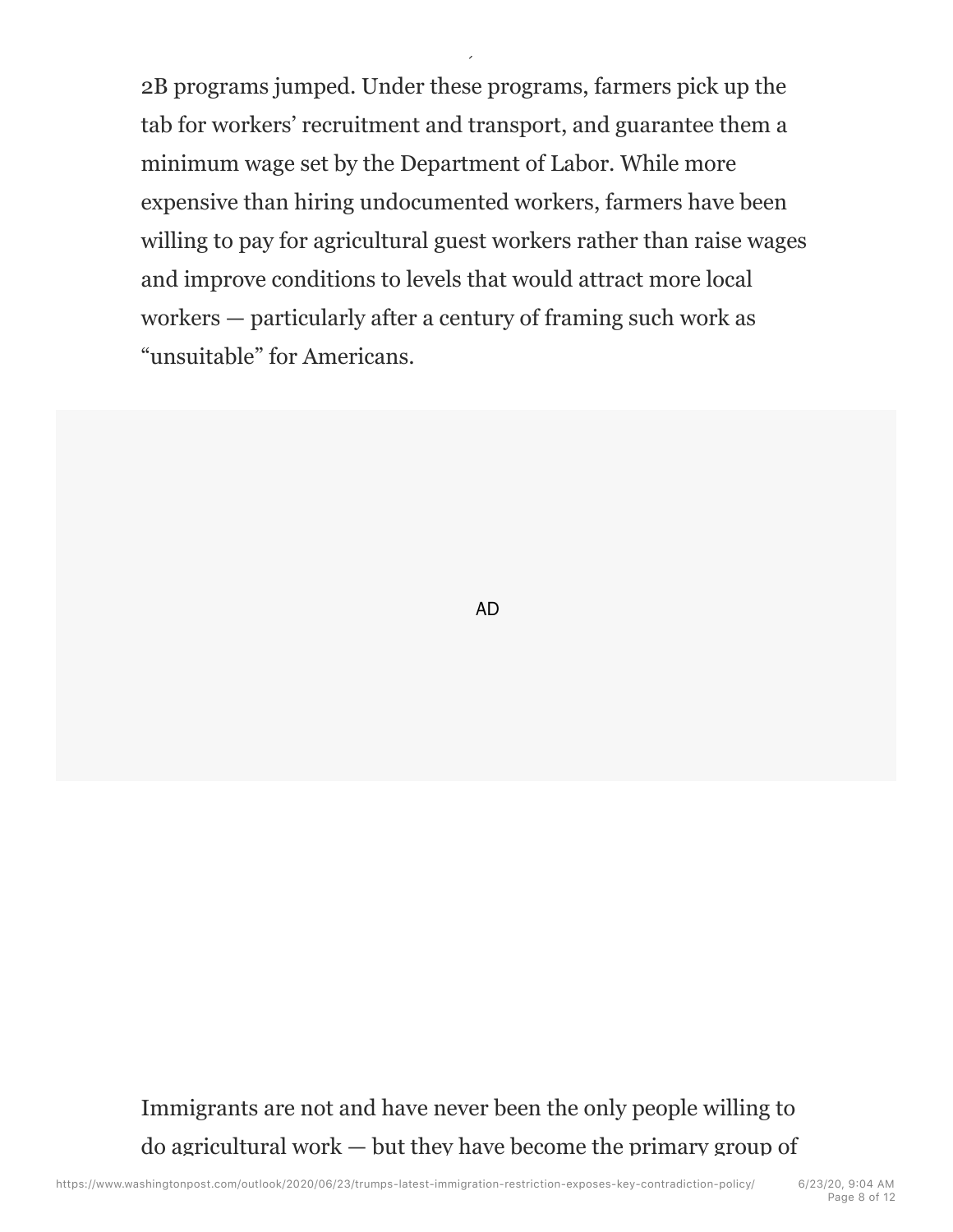2B programs jumped. Under these programs, farmers pick up the tab for workers' recruitment and transport, and guarantee them a minimum wage set by the Department of Labor. While more expensive than hiring undocumented workers, farmers have been willing to pay for agricultural guest workers rather than raise wages and improve conditions to levels that would attract more local workers — particularly after a century of framing such work as "unsuitable" for Americans.

farms due to border enforcement, farmers  $\mathcal{L}_{\mathcal{A}}$ 

AD

Immigrants are not and have never been the only people willing to do agricultural work — but they have become the primary group of